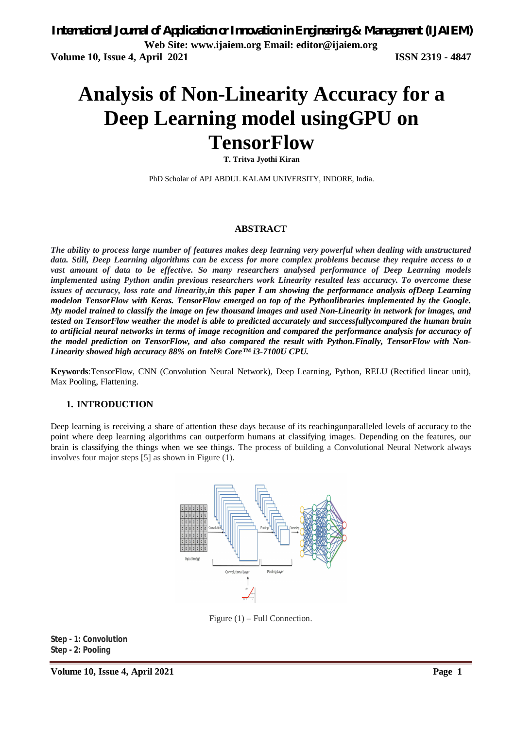# **Analysis of Non-Linearity Accuracy for a Deep Learning model usingGPU on TensorFlow**

**T. Tritva Jyothi Kiran**

PhD Scholar of APJ ABDUL KALAM UNIVERSITY, INDORE, India.

### **ABSTRACT**

*The ability to process large number of features makes deep learning very powerful when dealing with unstructured data. Still, Deep Learning algorithms can be excess for more complex problems because they require access to a vast amount of data to be effective. So many researchers analysed performance of Deep Learning models implemented using Python andin previous researchers work Linearity resulted less accuracy. To overcome these issues of accuracy, loss rate and linearity,in this paper I am showing the performance analysis ofDeep Learning modelon TensorFlow with Keras. TensorFlow emerged on top of the Pythonlibraries implemented by the Google. My model trained to classify the image on few thousand images and used Non-Linearity in network for images, and tested on TensorFlow weather the model is able to predicted accurately and successfullycompared the human brain to artificial neural networks in terms of image recognition and compared the performance analysis for accuracy of the model prediction on TensorFlow, and also compared the result with Python.Finally, TensorFlow with Non-Linearity showed high accuracy 88% on Intel® Core™ i3-7100U CPU.*

**Keywords**:TensorFlow, CNN (Convolution Neural Network), Deep Learning, Python, RELU (Rectified linear unit), Max Pooling, Flattening.

## **1. INTRODUCTION**

Deep learning is receiving a share of attention these days because of its reachingunparalleled levels of accuracy to the point where deep learning algorithms can outperform humans at classifying images. Depending on the features, our brain is classifying the things when we see things. The process of building a Convolutional Neural Network always involves four major steps [5] as shown in Figure (1).



Figure (1) – Full Connection.

**Step - 1: Convolution Step - 2: Pooling**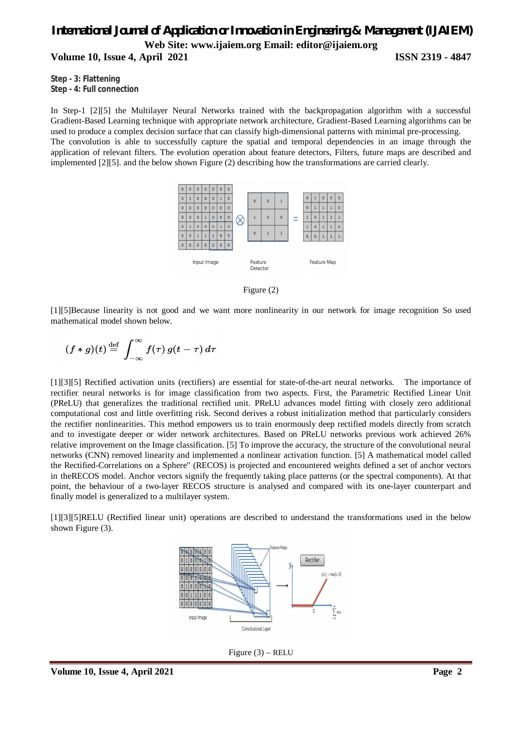# *International Journal of Application or Innovation in Engineering & Management (IJAIEM)* **Web Site: www.ijaiem.org Email: editor@ijaiem.org**

**Volume 10, Issue 4, April 2021 ISSN 2319 - 4847**

### **Step - 3: Flattening Step - 4: Full connection**

In Step-1 [2][5] the Multilayer Neural Networks trained with the backpropagation algorithm with a successful Gradient-Based Learning technique with appropriate network architecture, Gradient-Based Learning algorithms can be used to produce a complex decision surface that can classify high-dimensional patterns with minimal pre-processing. The convolution is able to successfully capture the spatial and temporal dependencies in an image through the application of relevant filters. The evolution operation about feature detectors, Filters, future maps are described and implemented [2][5]. and the below shown Figure (2) describing how the transformations are carried clearly.





[1][5]Because linearity is not good and we want more nonlinearity in our network for image recognition So used mathematical model shown below.

$$
(f*g)(t) \mathbin{\stackrel{\rm def}{=}} \, \int_{-\infty}^\infty f(\tau) \, g(t-\tau) \, d\tau
$$

[1][3][5] Rectified activation units (rectifiers) are essential for state-of-the-art neural networks. The importance of rectifier neural networks is for image classification from two aspects. First, the Parametric Rectified Linear Unit (PReLU) that generalizes the traditional rectified unit. PReLU advances model fitting with closely zero additional computational cost and little overfitting risk. Second derives a robust initialization method that particularly considers the rectifier nonlinearities. This method empowers us to train enormously deep rectified models directly from scratch and to investigate deeper or wider network architectures. Based on PReLU networks previous work achieved 26% relative improvement on the Image classification. [5] To improve the accuracy, the structure of the convolutional neural networks (CNN) removed linearity and implemented a nonlinear activation function. [5] A mathematical model called the Rectified-Correlations on a Sphere" (RECOS) is projected and encountered weights defined a set of anchor vectors in theRECOS model. Anchor vectors signify the frequently taking place patterns (or the spectral components). At that point, the behaviour of a two-layer RECOS structure is analysed and compared with its one-layer counterpart and finally model is generalized to a multilayer system.

[1][3][5]RELU (Rectified linear unit) operations are described to understand the transformations used in the below shown Figure (3).



Figure  $(3)$  – RELU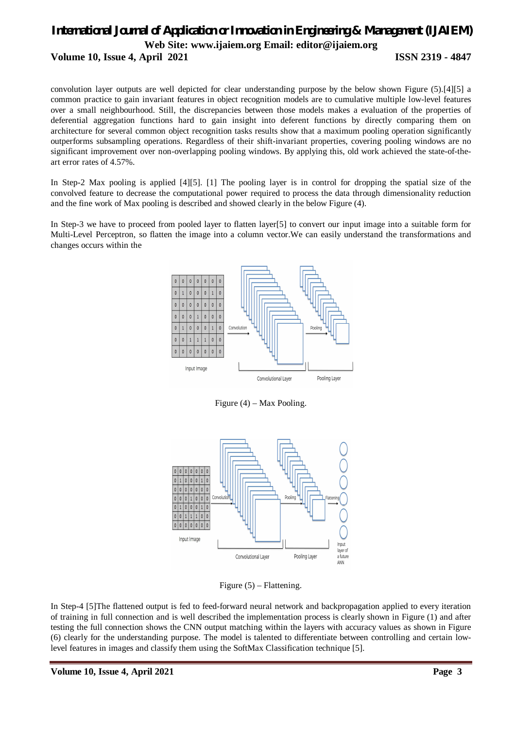# *International Journal of Application or Innovation in Engineering & Management (IJAIEM)* **Web Site: www.ijaiem.org Email: editor@ijaiem.org Volume 10, Issue 4, April 2021 ISSN 2319 - 4847**

convolution layer outputs are well depicted for clear understanding purpose by the below shown Figure (5).[4][5] a common practice to gain invariant features in object recognition models are to cumulative multiple low-level features over a small neighbourhood. Still, the discrepancies between those models makes a evaluation of the properties of deferential aggregation functions hard to gain insight into deferent functions by directly comparing them on architecture for several common object recognition tasks results show that a maximum pooling operation significantly outperforms subsampling operations. Regardless of their shift-invariant properties, covering pooling windows are no significant improvement over non-overlapping pooling windows. By applying this, old work achieved the state-of-theart error rates of 4.57%.

In Step-2 Max pooling is applied [4][5]. [1] The pooling layer is in control for dropping the spatial size of the convolved feature to decrease the computational power required to process the data through dimensionality reduction and the fine work of Max pooling is described and showed clearly in the below Figure (4).

In Step-3 we have to proceed from pooled layer to flatten layer[5] to convert our input image into a suitable form for Multi-Level Perceptron, so flatten the image into a column vector.We can easily understand the transformations and changes occurs within the



Figure  $(4)$  – Max Pooling.



Figure (5) – Flattening.

In Step-4 [5]The flattened output is fed to feed-forward neural network and backpropagation applied to every iteration of training in full connection and is well described the implementation process is clearly shown in Figure (1) and after testing the full connection shows the CNN output matching within the layers with accuracy values as shown in Figure (6) clearly for the understanding purpose. The model is talented to differentiate between controlling and certain lowlevel features in images and classify them using the SoftMax Classification technique [5].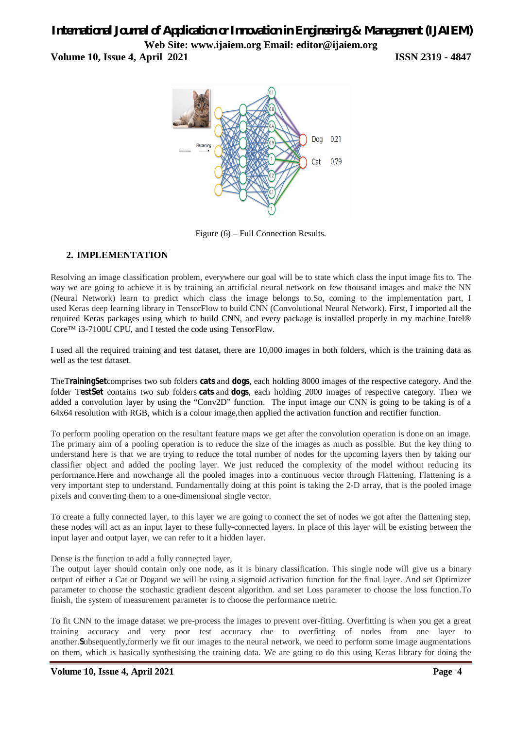# *International Journal of Application or Innovation in Engineering & Management (IJAIEM)* **Web Site: www.ijaiem.org Email: editor@ijaiem.org**

**Volume 10, Issue 4, April 2021 ISSN 2319 - 4847**



Figure (6) – Full Connection Results.

# **2. IMPLEMENTATION**

Resolving an image classification problem, everywhere our goal will be to state which class the input image fits to. The way we are going to achieve it is by training an artificial neural network on few thousand images and make the NN (Neural Network) learn to predict which class the image belongs to.So, coming to the implementation part, I used Keras deep learning library in TensorFlow to build CNN (Convolutional Neural Network). First, I imported all the required Keras packages using which to build CNN, and every package is installed properly in my machine Intel® Core™ i3-7100U CPU, and I tested the code using TensorFlow.

I used all the required training and test dataset, there are 10,000 images in both folders, which is the training data as well as the test dataset.

TheT**rainingSet**comprises two sub folders **cats** and **dogs**, each holding 8000 images of the respective category. And the folder T**estSet** contains two sub folders **cats** and **dogs**, each holding 2000 images of respective category. Then we added a convolution layer by using the "Conv2D" function. The input image our CNN is going to be taking is of a 64x64 resolution with RGB, which is a colour image,then applied the activation function and rectifier function.

To perform pooling operation on the resultant feature maps we get after the convolution operation is done on an image. The primary aim of a pooling operation is to reduce the size of the images as much as possible. But the key thing to understand here is that we are trying to reduce the total number of nodes for the upcoming layers then by taking our classifier object and added the pooling layer. We just reduced the complexity of the model without reducing its performance.Here and nowchange all the pooled images into a continuous vector through Flattening. Flattening is a very important step to understand. Fundamentally doing at this point is taking the 2-D array, that is the pooled image pixels and converting them to a one-dimensional single vector.

To create a fully connected layer, to this layer we are going to connect the set of nodes we got after the flattening step, these nodes will act as an input layer to these fully-connected layers. In place of this layer will be existing between the input layer and output layer, we can refer to it a hidden layer.

Dense is the function to add a fully connected layer,

The output layer should contain only one node, as it is binary classification. This single node will give us a binary output of either a Cat or Dogand we will be using a sigmoid activation function for the final layer. And set Optimizer parameter to choose the stochastic gradient descent algorithm. and set Loss parameter to choose the loss function.To finish, the system of measurement parameter is to choose the performance metric.

To fit CNN to the image dataset we pre-process the images to prevent over-fitting. Overfitting is when you get a great training accuracy and very poor test accuracy due to overfitting of nodes from one layer to another.**S**ubsequently,formerly we fit our images to the neural network, we need to perform some image augmentations on them, which is basically synthesising the training data. We are going to do this using Keras library for doing the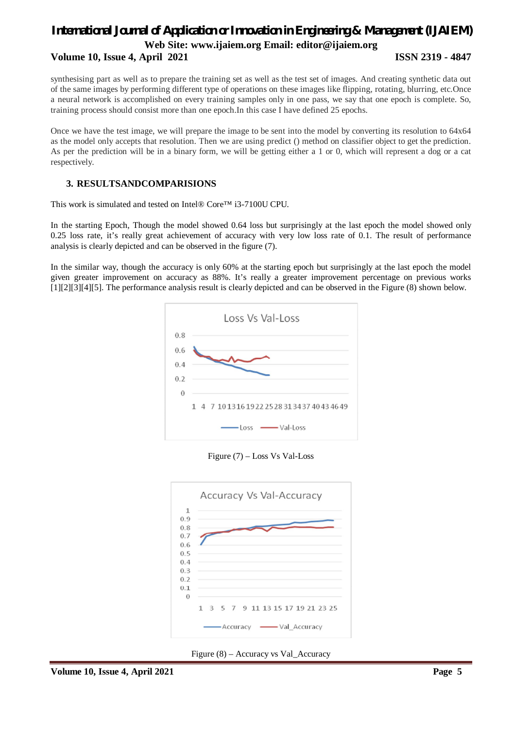# *International Journal of Application or Innovation in Engineering & Management (IJAIEM)* **Web Site: www.ijaiem.org Email: editor@ijaiem.org**

# **Volume 10, Issue 4, April 2021 ISSN 2319 - 4847**

synthesising part as well as to prepare the training set as well as the test set of images. And creating synthetic data out of the same images by performing different type of operations on these images like flipping, rotating, blurring, etc.Once a neural network is accomplished on every training samples only in one pass, we say that one epoch is complete. So, training process should consist more than one epoch.In this case I have defined 25 epochs.

Once we have the test image, we will prepare the image to be sent into the model by converting its resolution to 64x64 as the model only accepts that resolution. Then we are using predict () method on classifier object to get the prediction. As per the prediction will be in a binary form, we will be getting either a 1 or 0, which will represent a dog or a cat respectively.

# **3. RESULTSANDCOMPARISIONS**

This work is simulated and tested on Intel® Core™ i3-7100U CPU.

In the starting Epoch, Though the model showed 0.64 loss but surprisingly at the last epoch the model showed only 0.25 loss rate, it's really great achievement of accuracy with very low loss rate of 0.1. The result of performance analysis is clearly depicted and can be observed in the figure (7).

In the similar way, though the accuracy is only 60% at the starting epoch but surprisingly at the last epoch the model given greater improvement on accuracy as 88%. It's really a greater improvement percentage on previous works [1][2][3][4][5]. The performance analysis result is clearly depicted and can be observed in the Figure (8) shown below.



Figure (7) – Loss Vs Val-Loss



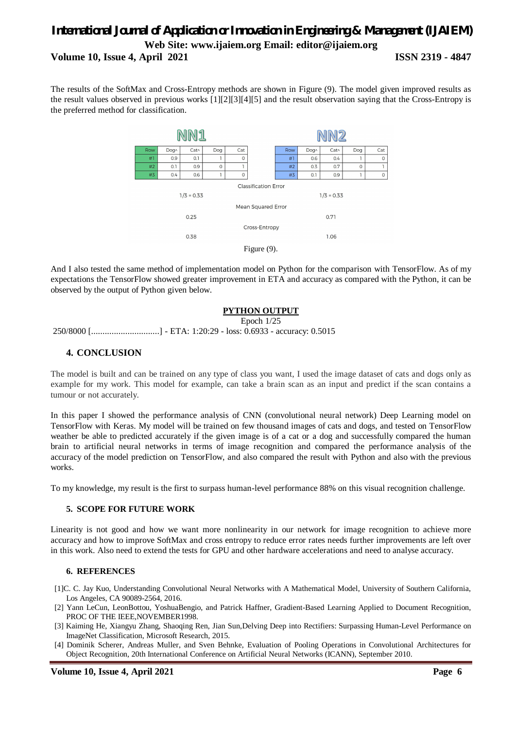# *International Journal of Application or Innovation in Engineering & Management (IJAIEM)* **Web Site: www.ijaiem.org Email: editor@ijaiem.org Volume 10, Issue 4, April 2021 ISSN 2319 - 4847**

The results of the SoftMax and Cross-Entropy methods are shown in Figure (9). The model given improved results as the result values observed in previous works [1][2][3][4][5] and the result observation saying that the Cross-Entropy is the preferred method for classification.



And I also tested the same method of implementation model on Python for the comparison with TensorFlow. As of my expectations the TensorFlow showed greater improvement in ETA and accuracy as compared with the Python, it can be observed by the output of Python given below.

### **PYTHON OUTPUT**

### Epoch 1/25

250/8000 [..............................] - ETA: 1:20:29 - loss: 0.6933 - accuracy: 0.5015

# **4. CONCLUSION**

The model is built and can be trained on any type of class you want, I used the image dataset of cats and dogs only as example for my work. This model for example, can take a brain scan as an input and predict if the scan contains a tumour or not accurately.

In this paper I showed the performance analysis of CNN (convolutional neural network) Deep Learning model on TensorFlow with Keras. My model will be trained on few thousand images of cats and dogs, and tested on TensorFlow weather be able to predicted accurately if the given image is of a cat or a dog and successfully compared the human brain to artificial neural networks in terms of image recognition and compared the performance analysis of the accuracy of the model prediction on TensorFlow, and also compared the result with Python and also with the previous works.

To my knowledge, my result is the first to surpass human-level performance 88% on this visual recognition challenge.

# **5. SCOPE FOR FUTURE WORK**

Linearity is not good and how we want more nonlinearity in our network for image recognition to achieve more accuracy and how to improve SoftMax and cross entropy to reduce error rates needs further improvements are left over in this work. Also need to extend the tests for GPU and other hardware accelerations and need to analyse accuracy.

### **6. REFERENCES**

- [1]C. C. Jay Kuo, Understanding Convolutional Neural Networks with A Mathematical Model, University of Southern California, Los Angeles, CA 90089-2564, 2016.
- [2] Yann LeCun, LeonBottou, YoshuaBengio, and Patrick Haffner, Gradient-Based Learning Applied to Document Recognition, PROC OF THE IEEE, NOVEMBER1998.
- [3] Kaiming He, Xiangyu Zhang, Shaoqing Ren, Jian Sun,Delving Deep into Rectifiers: Surpassing Human-Level Performance on ImageNet Classification, Microsoft Research, 2015.
- [4] Dominik Scherer, Andreas Muller, and Sven Behnke, Evaluation of Pooling Operations in Convolutional Architectures for Object Recognition, 20th International Conference on Artificial Neural Networks (ICANN), September 2010.